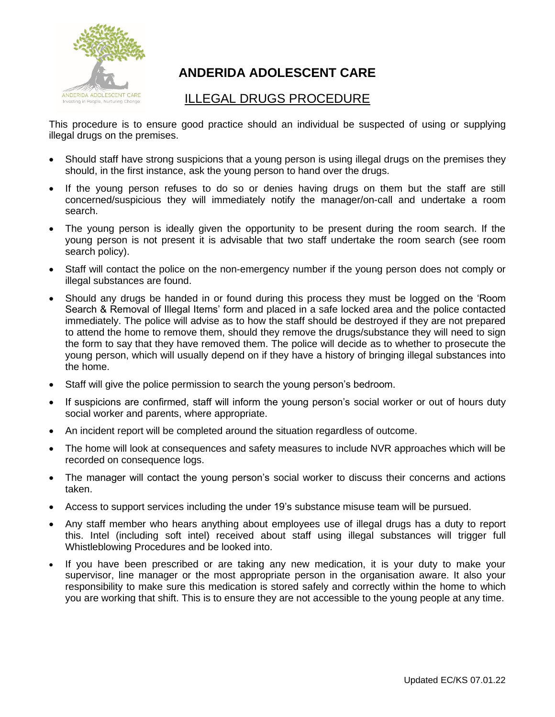

## **ANDERIDA ADOLESCENT CARE**

## ILLEGAL DRUGS PROCEDURE

This procedure is to ensure good practice should an individual be suspected of using or supplying illegal drugs on the premises.

- Should staff have strong suspicions that a young person is using illegal drugs on the premises they should, in the first instance, ask the young person to hand over the drugs.
- If the young person refuses to do so or denies having drugs on them but the staff are still concerned/suspicious they will immediately notify the manager/on-call and undertake a room search.
- The young person is ideally given the opportunity to be present during the room search. If the young person is not present it is advisable that two staff undertake the room search (see room search policy).
- Staff will contact the police on the non-emergency number if the young person does not comply or illegal substances are found.
- Should any drugs be handed in or found during this process they must be logged on the 'Room Search & Removal of Illegal Items' form and placed in a safe locked area and the police contacted immediately. The police will advise as to how the staff should be destroyed if they are not prepared to attend the home to remove them, should they remove the drugs/substance they will need to sign the form to say that they have removed them. The police will decide as to whether to prosecute the young person, which will usually depend on if they have a history of bringing illegal substances into the home.
- Staff will give the police permission to search the young person's bedroom.
- If suspicions are confirmed, staff will inform the young person's social worker or out of hours duty social worker and parents, where appropriate.
- An incident report will be completed around the situation regardless of outcome.
- The home will look at consequences and safety measures to include NVR approaches which will be recorded on consequence logs.
- The manager will contact the young person's social worker to discuss their concerns and actions taken.
- Access to support services including the under 19's substance misuse team will be pursued.
- Any staff member who hears anything about employees use of illegal drugs has a duty to report this. Intel (including soft intel) received about staff using illegal substances will trigger full Whistleblowing Procedures and be looked into.
- If you have been prescribed or are taking any new medication, it is your duty to make your supervisor, line manager or the most appropriate person in the organisation aware. It also your responsibility to make sure this medication is stored safely and correctly within the home to which you are working that shift. This is to ensure they are not accessible to the young people at any time.